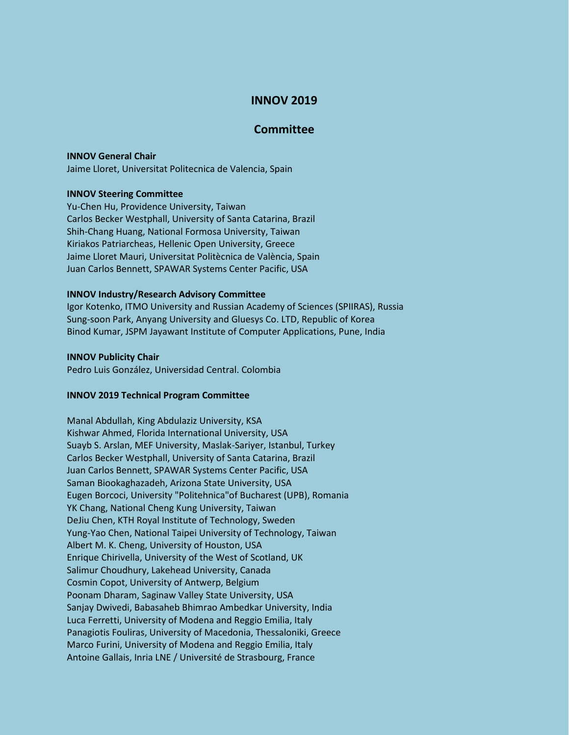# **INNOV 2019**

## **Committee**

### **INNOV General Chair**

Jaime Lloret, Universitat Politecnica de Valencia, Spain

## **INNOV Steering Committee**

Yu-Chen Hu, Providence University, Taiwan Carlos Becker Westphall, University of Santa Catarina, Brazil Shih-Chang Huang, National Formosa University, Taiwan Kiriakos Patriarcheas, Hellenic Open University, Greece Jaime Lloret Mauri, Universitat Politècnica de València, Spain Juan Carlos Bennett, SPAWAR Systems Center Pacific, USA

#### **INNOV Industry/Research Advisory Committee**

Igor Kotenko, ITMO University and Russian Academy of Sciences (SPIIRAS), Russia Sung-soon Park, Anyang University and Gluesys Co. LTD, Republic of Korea Binod Kumar, JSPM Jayawant Institute of Computer Applications, Pune, India

#### **INNOV Publicity Chair**

Pedro Luis González, Universidad Central. Colombia

## **INNOV 2019 Technical Program Committee**

Manal Abdullah, King Abdulaziz University, KSA Kishwar Ahmed, Florida International University, USA Suayb S. Arslan, MEF University, Maslak-Sariyer, Istanbul, Turkey Carlos Becker Westphall, University of Santa Catarina, Brazil Juan Carlos Bennett, SPAWAR Systems Center Pacific, USA Saman Biookaghazadeh, Arizona State University, USA Eugen Borcoci, University "Politehnica"of Bucharest (UPB), Romania YK Chang, National Cheng Kung University, Taiwan DeJiu Chen, KTH Royal Institute of Technology, Sweden Yung-Yao Chen, National Taipei University of Technology, Taiwan Albert M. K. Cheng, University of Houston, USA Enrique Chirivella, University of the West of Scotland, UK Salimur Choudhury, Lakehead University, Canada Cosmin Copot, University of Antwerp, Belgium Poonam Dharam, Saginaw Valley State University, USA Sanjay Dwivedi, Babasaheb Bhimrao Ambedkar University, India Luca Ferretti, University of Modena and Reggio Emilia, Italy Panagiotis Fouliras, University of Macedonia, Thessaloniki, Greece Marco Furini, University of Modena and Reggio Emilia, Italy Antoine Gallais, Inria LNE / Université de Strasbourg, France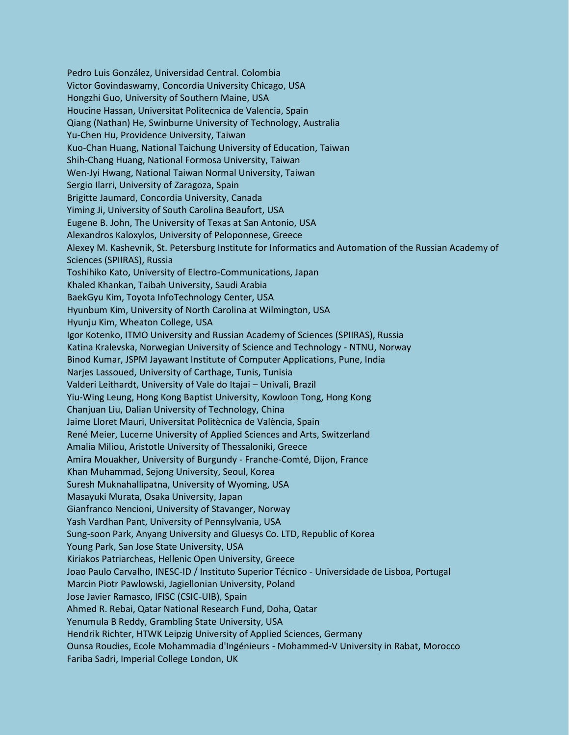Pedro Luis González, Universidad Central. Colombia Victor Govindaswamy, Concordia University Chicago, USA Hongzhi Guo, University of Southern Maine, USA Houcine Hassan, Universitat Politecnica de Valencia, Spain Qiang (Nathan) He, Swinburne University of Technology, Australia Yu-Chen Hu, Providence University, Taiwan Kuo-Chan Huang, National Taichung University of Education, Taiwan Shih-Chang Huang, National Formosa University, Taiwan Wen-Jyi Hwang, National Taiwan Normal University, Taiwan Sergio Ilarri, University of Zaragoza, Spain Brigitte Jaumard, Concordia University, Canada Yiming Ji, University of South Carolina Beaufort, USA Eugene B. John, The University of Texas at San Antonio, USA Alexandros Kaloxylos, University of Peloponnese, Greece Alexey M. Kashevnik, St. Petersburg Institute for Informatics and Automation of the Russian Academy of Sciences (SPIIRAS), Russia Toshihiko Kato, University of Electro-Communications, Japan Khaled Khankan, Taibah University, Saudi Arabia BaekGyu Kim, Toyota InfoTechnology Center, USA Hyunbum Kim, University of North Carolina at Wilmington, USA Hyunju Kim, Wheaton College, USA Igor Kotenko, ITMO University and Russian Academy of Sciences (SPIIRAS), Russia Katina Kralevska, Norwegian University of Science and Technology - NTNU, Norway Binod Kumar, JSPM Jayawant Institute of Computer Applications, Pune, India Narjes Lassoued, University of Carthage, Tunis, Tunisia Valderi Leithardt, University of Vale do Itajai – Univali, Brazil Yiu-Wing Leung, Hong Kong Baptist University, Kowloon Tong, Hong Kong Chanjuan Liu, Dalian University of Technology, China Jaime Lloret Mauri, Universitat Politècnica de València, Spain René Meier, Lucerne University of Applied Sciences and Arts, Switzerland Amalia Miliou, Aristotle University of Thessaloniki, Greece Amira Mouakher, University of Burgundy - Franche-Comté, Dijon, France Khan Muhammad, Sejong University, Seoul, Korea Suresh Muknahallipatna, University of Wyoming, USA Masayuki Murata, Osaka University, Japan Gianfranco Nencioni, University of Stavanger, Norway Yash Vardhan Pant, University of Pennsylvania, USA Sung-soon Park, Anyang University and Gluesys Co. LTD, Republic of Korea Young Park, San Jose State University, USA Kiriakos Patriarcheas, Hellenic Open University, Greece Joao Paulo Carvalho, INESC-ID / Instituto Superior Técnico - Universidade de Lisboa, Portugal Marcin Piotr Pawlowski, Jagiellonian University, Poland Jose Javier Ramasco, IFISC (CSIC-UIB), Spain Ahmed R. Rebai, Qatar National Research Fund, Doha, Qatar Yenumula B Reddy, Grambling State University, USA Hendrik Richter, HTWK Leipzig University of Applied Sciences, Germany Ounsa Roudies, Ecole Mohammadia d'Ingénieurs - Mohammed-V University in Rabat, Morocco Fariba Sadri, Imperial College London, UK